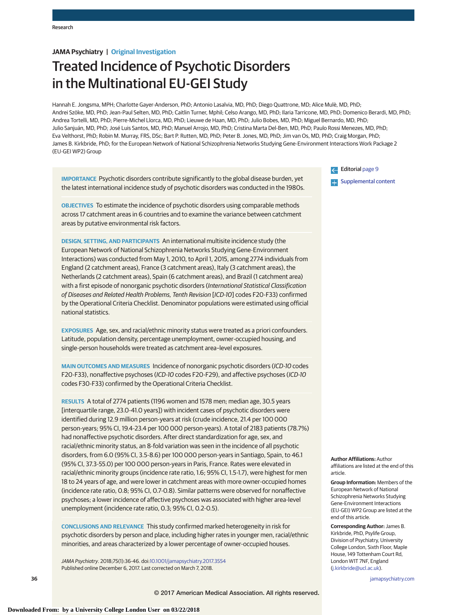# **JAMA Psychiatry | Original Investigation**

# Treated Incidence of Psychotic Disorders in the Multinational EU-GEI Study

Hannah E. Jongsma, MPH; Charlotte Gayer-Anderson, PhD; Antonio Lasalvia, MD, PhD; Diego Quattrone, MD; Alice Mulè, MD, PhD; Andrei Szöke, MD, PhD; Jean-Paul Selten, MD, PhD; Caitlin Turner, Mphil; Celso Arango, MD, PhD; Ilaria Tarricone, MD, PhD; Domenico Berardi, MD, PhD; Andrea Tortelli, MD, PhD; Pierre-Michel Llorca, MD, PhD; Lieuwe de Haan, MD, PhD; Julio Bobes, MD, PhD; Miguel Bernardo, MD, PhD; Julio Sanjuán, MD, PhD; José Luis Santos, MD, PhD; Manuel Arrojo, MD, PhD; Cristina Marta Del-Ben, MD, PhD; Paulo Rossi Menezes, MD, PhD; Eva Velthorst, PhD; Robin M. Murray, FRS, DSc; Bart P. Rutten, MD, PhD; Peter B. Jones, MD, PhD; Jim van Os, MD, PhD; Craig Morgan, PhD; James B. Kirkbride, PhD; for the European Network of National Schizophrenia Networks Studying Gene-Environment Interactions Work Package 2 (EU-GEI WP2) Group

**IMPORTANCE** Psychotic disorders contribute significantly to the global disease burden, yet the latest international incidence study of psychotic disorders was conducted in the 1980s.

**OBJECTIVES** To estimate the incidence of psychotic disorders using comparable methods across 17 catchment areas in 6 countries and to examine the variance between catchment areas by putative environmental risk factors.

**DESIGN, SETTING, AND PARTICIPANTS** An international multisite incidence study (the European Network of National Schizophrenia Networks Studying Gene-Environment Interactions) was conducted from May 1, 2010, to April 1, 2015, among 2774 individuals from England (2 catchment areas), France (3 catchment areas), Italy (3 catchment areas), the Netherlands (2 catchment areas), Spain (6 catchment areas), and Brazil (1 catchment area) with a first episode of nonorganic psychotic disorders (International Statistical Classification of Diseases and Related Health Problems, Tenth Revision [ICD-10] codes F20-F33) confirmed by the Operational Criteria Checklist. Denominator populations were estimated using official national statistics.

**EXPOSURES** Age, sex, and racial/ethnic minority status were treated as a priori confounders. Latitude, population density, percentage unemployment, owner-occupied housing, and single-person households were treated as catchment area–level exposures.

**MAIN OUTCOMES AND MEASURES** Incidence of nonorganic psychotic disorders (ICD-10 codes F20-F33), nonaffective psychoses (ICD-10 codes F20-F29), and affective psychoses (ICD-10 codes F30-F33) confirmed by the Operational Criteria Checklist.

**RESULTS** A total of 2774 patients (1196 women and 1578 men; median age, 30.5 years [interquartile range, 23.0-41.0 years]) with incident cases of psychotic disorders were identified during 12.9 million person-years at risk (crude incidence, 21.4 per 100 000 person-years; 95% CI, 19.4-23.4 per 100 000 person-years). A total of 2183 patients (78.7%) had nonaffective psychotic disorders. After direct standardization for age, sex, and racial/ethnic minority status, an 8-fold variation was seen in the incidence of all psychotic disorders, from 6.0 (95% CI, 3.5-8.6) per 100 000 person-years in Santiago, Spain, to 46.1 (95% CI, 37.3-55.0) per 100 000 person-years in Paris, France. Rates were elevated in racial/ethnic minority groups (incidence rate ratio, 1.6; 95% CI, 1.5-1.7), were highest for men 18 to 24 years of age, and were lower in catchment areas with more owner-occupied homes (incidence rate ratio, 0.8; 95% CI, 0.7-0.8). Similar patterns were observed for nonaffective psychoses; a lower incidence of affective psychoses was associated with higher area-level unemployment (incidence rate ratio, 0.3; 95% CI, 0.2-0.5).

**CONCLUSIONS AND RELEVANCE** This study confirmed marked heterogeneity in risk for psychotic disorders by person and place, including higher rates in younger men, racial/ethnic minorities, and areas characterized by a lower percentage of owner-occupied houses.

JAMA Psychiatry. 2018;75(1):36-46. doi[:10.1001/jamapsychiatry.2017.3554](https://jama.jamanetwork.com/article.aspx?doi=10.1001/jamapsychiatry.2017.3554&utm_campaign=articlePDF%26utm_medium=articlePDFlink%26utm_source=articlePDF%26utm_content=jamapsychiatry.2017.3554) Published online December 6, 2017. Last corrected on March 7, 2018.

Editorial [page 9](https://jama.jamanetwork.com/article.aspx?doi=10.1001/jamapsychiatry.2017.3541&utm_campaign=articlePDF%26utm_medium=articlePDFlink%26utm_source=articlePDF%26utm_content=jamapsychiatry.2017.3554)

**[Supplemental content](https://jama.jamanetwork.com/article.aspx?doi=10.1001/jamapsychiatry.2017.3554&utm_campaign=articlePDF%26utm_medium=articlePDFlink%26utm_source=articlePDF%26utm_content=jamapsychiatry.2017.3554)** 

**Author Affiliations:** Author affiliations are listed at the end of this article.

**Group Information:** Members of the European Network of National Schizophrenia Networks Studying Gene-Environment Interactions (EU-GEI) WP2 Group are listed at the end of this article.

**Corresponding Author:** James B. Kirkbride, PhD, Psylife Group, Division of Psychiatry, University College London, Sixth Floor, Maple House, 149 Tottenham Court Rd, London W1T 7NF, England [\(j.kirkbride@ucl.ac.uk\)](mailto:j.kirkbride@ucl.ac.uk).

**36 (Reprinted)** [jamapsychiatry.com](http://www.jamapsychiatry.com/?utm_campaign=articlePDF%26utm_medium=articlePDFlink%26utm_source=articlePDF%26utm_content=jamapsychiatry.2017.3554)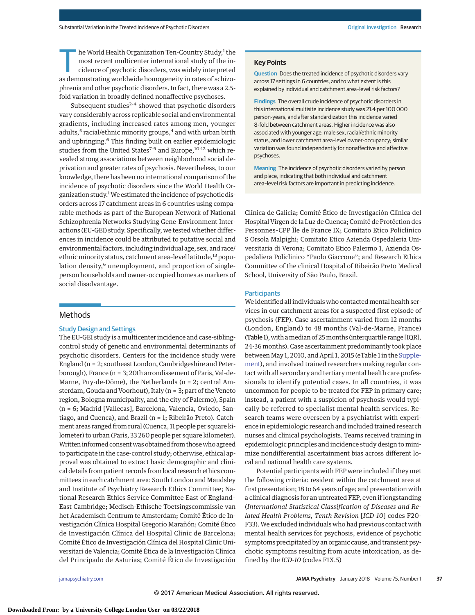he World Health Organization Ten-Country Study,<sup>1</sup> the most recent multicenter international study of the incidence of psychotic disorders, was widely interpreted as demonstrating worldwide homogeneity in rates of schizophrenia and other psychotic disorders. In fact, there was a 2.5 fold variation in broadly defined nonaffective psychoses.

Subsequent studies $^{2-4}$  showed that psychotic disorders vary considerably across replicable social and environmental gradients, including increased rates among men, younger adults,<sup>5</sup> racial/ethnic minority groups,<sup>4</sup> and with urban birth and upbringing.<sup>6</sup> This finding built on earlier epidemiologic studies from the United States<sup>7-9</sup> and Europe,<sup>10-12</sup> which revealed strong associations between neighborhood social deprivation and greater rates of psychosis. Nevertheless, to our knowledge, there has been no international comparison of the incidence of psychotic disorders since the World Health Organization study.<sup>1</sup> We estimated the incidence of psychotic disorders across 17 catchment areas in 6 countries using comparable methods as part of the European Network of National Schizophrenia Networks Studying Gene-Environment Interactions (EU-GEI) study. Specifically, we tested whether differences in incidence could be attributed to putative social and environmental factors, including individual age, sex, and race/ ethnic minority status, catchment area-level latitude,<sup>13</sup> population density, $6$  unemployment, and proportion of singleperson households and owner-occupied homes as markers of social disadvantage.

# Methods

## Study Design and Settings

The EU-GEI study is a multicenter incidence and case-siblingcontrol study of genetic and environmental determinants of psychotic disorders. Centers for the incidence study were England (n = 2; southeast London, Cambridgeshire and Peterborough), France (n = 3; 20th arrondissement of Paris, Val-de-Marne, Puy-de-Dôme), the Netherlands (n = 2; central Amsterdam, Gouda and Voorhout), Italy (n = 3; part of the Veneto region, Bologna municipality, and the city of Palermo), Spain (n = 6; Madrid [Vallecas], Barcelona, Valencia, Oviedo, Santiago, and Cuenca), and Brazil (n = 1; Ribeirão Preto). Catchment areas ranged from rural (Cuenca, 11 people per square kilometer) to urban (Paris, 33 260 people per square kilometer). Written informed consent was obtained from those who agreed to participate in the case-control study; otherwise, ethical approval was obtained to extract basic demographic and clinical details from patient records from local research ethics committees in each catchment area: South London and Maudsley and Institute of Psychiatry Research Ethics Committee; National Research Ethics Service Committee East of England– East Cambridge; Medisch-Ethische Toetsingscommissie van het Academisch Centrum te Amsterdam; Comité Ético de Investigación Clínica Hospital Gregorio Marañón; Comité Ético de Investigación Clínica del Hospital Clinic de Barcelona; Comité Ético de Investigación Clínica del Hospital Clinic Universitari de Valencia; Comité Ética de la Investigación Clínica del Principado de Asturias; Comité Ético de Investigación

#### **Key Points**

**Question** Does the treated incidence of psychotic disorders vary across 17 settings in 6 countries, and to what extent is this explained by individual and catchment area–level risk factors?

**Findings** The overall crude incidence of psychotic disorders in this international multisite incidence study was 21.4 per 100 000 person-years, and after standardization this incidence varied 8-fold between catchment areas. Higher incidence was also associated with younger age, male sex, racial/ethnic minority status, and lower catchment area–level owner-occupancy; similar variation was found independently for nonaffective and affective psychoses.

**Meaning** The incidence of psychotic disorders varied by person and place, indicating that both individual and catchment area–level risk factors are important in predicting incidence.

Clínica de Galicia; Comité Ético de Investigación Clínica del Hospital Virgen de la Luz de Cuenca; Comité de Protéction des Personnes–CPP Île de France IX; Comitato Etico Policlinico S Orsola Malpighi; Comitato Etico Azienda Ospedaleria Universitaria di Verona; Comitato Etico Palermo 1, Azienda Ospedaliera Policlinico "Paolo Giaccone"; and Research Ethics Committee of the clinical Hospital of Ribeirão Preto Medical School, University of São Paulo, Brazil.

#### **Participants**

We identified all individuals who contacted mental health services in our catchment areas for a suspected first episode of psychosis (FEP). Case ascertainment varied from 12 months (London, England) to 48 months (Val-de-Marne, France) (Table 1), with a median of 25 months (interquartile range [IQR], 24-36 months). Case ascertainment predominantly took place between May 1, 2010, and April 1, 2015 (eTable 1 in the [Supple](https://jama.jamanetwork.com/article.aspx?doi=10.1001/jamapsychiatry.2017.3554&utm_campaign=articlePDF%26utm_medium=articlePDFlink%26utm_source=articlePDF%26utm_content=jamapsychiatry.2017.3554)[ment\)](https://jama.jamanetwork.com/article.aspx?doi=10.1001/jamapsychiatry.2017.3554&utm_campaign=articlePDF%26utm_medium=articlePDFlink%26utm_source=articlePDF%26utm_content=jamapsychiatry.2017.3554), and involved trained researchers making regular contact with all secondary and tertiary mental health care professionals to identify potential cases. In all countries, it was uncommon for people to be treated for FEP in primary care; instead, a patient with a suspicion of psychosis would typically be referred to specialist mental health services. Research teams were overseen by a psychiatrist with experience in epidemiologic research and included trained research nurses and clinical psychologists. Teams received training in epidemiologic principles and incidence study design to minimize nondifferential ascertainment bias across different local and national health care systems.

Potential participants with FEP were included if they met the following criteria: resident within the catchment area at first presentation; 18 to 64 years of age; and presentation with a clinical diagnosis for an untreated FEP, even if longstanding (*International Statistical Classification of Diseases and Related Health Problems, Tenth Revision* [*ICD-10*] codes F20- F33). We excluded individuals who had previous contact with mental health services for psychosis, evidence of psychotic symptoms precipitated by an organic cause, and transient psychotic symptoms resulting from acute intoxication, as defined by the *ICD-10* (codes F1X.5)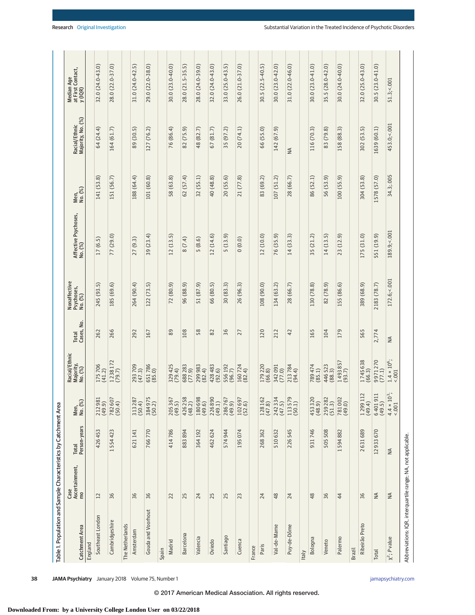| Table 1. Population and Sample Characteristics by Catchment Area |                                          |                              |                                |                                       |                     |                                       |                                 |                 |                                    |                                            |
|------------------------------------------------------------------|------------------------------------------|------------------------------|--------------------------------|---------------------------------------|---------------------|---------------------------------------|---------------------------------|-----------------|------------------------------------|--------------------------------------------|
| Catchment Area                                                   | Case<br>Ascertainment,<br>$\overline{m}$ | Person-years<br><b>Total</b> | Men,<br>No. (%)                | Racial/Ethnic<br>Majority,<br>No. (%) | Cases, No.<br>Total | Nonaffective<br>Psychoses,<br>No. (%) | Affective Psychoses,<br>No. (%) | Men,<br>No. (%) | Racial/Ethnic<br>Majority, No. (%) | Median Age<br>at First Contact,<br>y (IQR) |
| England                                                          |                                          |                              |                                |                                       |                     |                                       |                                 |                 |                                    |                                            |
| Southeast London                                                 | 12                                       | 426453                       | 212981<br>(49.9)               | 175706<br>(41.2)                      | 262                 | 245 (93.5)                            | 17(6.5)                         | 141 (53.8)      | 64 (24.4)                          | 32.0 (24.0-43.0)                           |
| Cambridgeshire                                                   | 36                                       | 1554423                      | 782 607<br>(50.4)              | $1238172$<br>$(79.7)$                 | 266                 | 185 (69.6)                            | 77 (29.0)                       | 151 (56.7)      | 164 (61.7)                         | 28.0 (22.0-37.0)                           |
| The Netherlands                                                  |                                          |                              |                                |                                       |                     |                                       |                                 |                 |                                    |                                            |
| Amsterdam                                                        | 36                                       | 621141                       | 313 287<br>(50.4)              | 293709<br>(47.3)                      | 292                 | 264 (90.4)                            | 27(9.3)                         | 188 (64.4)      | 89 (30.5)                          | 31.0 (24.0-42.5)                           |
| Gouda and Voorhout                                               | 36                                       | 766770                       | 384975<br>(50.2)               | 651786<br>(85.0)                      | 167                 | 122 (73.5)                            | 39 (23.4)                       | 101 (60.8)      | 127 (76.2)                         | 29.0 (22.0-38.0)                           |
| Spain                                                            |                                          |                              |                                |                                       |                     |                                       |                                 |                 |                                    |                                            |
| Madrid                                                           | 22                                       | 414786                       | 205 367<br>(49.5)              | 329425<br>(79.4)                      | 89                  | 72 (80.9)                             | 12(13.5)                        | 58 (63.8)       | 76 (86.4)                          | 30.0 (23.0-40.0)                           |
| <b>Barcelona</b>                                                 | 25                                       | 883894                       | 426258<br>(48.2)               | 688283<br>(77.9)                      | 108                 | 96 (88.9)                             | 8 (7.4)                         | 62(57.4)        | 82 (75.9)                          | 28.0 (21.5-35.5)                           |
| Valencia                                                         | 24                                       | 364192                       | 180 698<br>(49.6)              | 299983<br>(82.4)                      | 58                  | 51 (87.9)                             | 5(8.6)                          | 32 (55.1)       | 48 (82.7)                          | 28.0 (24.0-39.0)                           |
| Oviedo                                                           | 25                                       | 462 624                      | 226890<br>(49.1)               | 428483<br>(92.6)                      | 82                  | 66 (80.5)                             | 12(14.6)                        | 40 (48.8)       | 67(81.7)                           | 32.0 (24.0-43.0)                           |
| Santiago                                                         | 25                                       | 574944                       | 286767<br>(49.9)               | 556192<br>(96.7)                      | 36                  | 30(83.3)                              | 5(13.9)                         | 20 (55.6)       | 35 (97.2)                          | 33.0 (25.0-43.5)                           |
| Cuenca                                                           | 23                                       | 195074                       | 102697<br>(52.6)               | 160724<br>(82.4)                      | 27                  | 26 (96.3)                             | 0(0.0)                          | 21 (77.8)       | 20 (74.1)                          | 26.0 (21.0-37.0)                           |
| France                                                           |                                          |                              |                                |                                       |                     |                                       |                                 |                 |                                    |                                            |
| Paris                                                            | 24                                       | 268 362                      | 128 162<br>(47.8)              | 179220<br>(66.8)                      | 120                 | 108 (90.0)                            | 12(10.0)                        | 83 (69.2)       | 66 (55.0)                          | 30.5 (22.5-40.5)                           |
| Val-de-Marne                                                     | 48                                       | 510632                       | 242 334<br>(47.5)              | 342091<br>(77.0)                      | 212                 | 134 (63.2)                            | 76 (35.9)                       | 107 (51.2)      | 142 (67.9)                         | 30.0 (23.0-42.0)                           |
| Puy-de-Dôme                                                      | 24                                       | 226545                       | 113579<br>(50.1)               | 213784<br>(94.4)                      | $\overline{4}$      | 28 (66.7)                             | 14(33.3)                        | 28 (66.7)       | ₹                                  | 31.0 (22.0-46.0)                           |
| Italy                                                            |                                          |                              |                                |                                       |                     |                                       |                                 |                 |                                    |                                            |
| Bologna                                                          | 48                                       | 931746                       | 453 320<br>(48.9)              | 789474<br>(85.1)                      | 165                 | 130 (78.8)                            | 35 (21.2)                       | 86 (52.1)       | 116 (70.3)                         | 30.0 (23.0-41.0)                           |
| Veneto                                                           | 36                                       | 505 508                      | 259 282<br>(51.3)              | 446523<br>(88.3)                      | 104                 | 82 (78.9)                             | 14(13.5)                        | 56 (53.9)       | 83 (79.8)                          | 35.5 (28.0-42.0)                           |
| Palermo                                                          | 44                                       | 1594882                      | 781002<br>(49.0)               | 1493857<br>(93.7)                     | 179                 | 155 (86.6)                            | 23 (12.9)                       | 100 (55.9)      | 158 (88.3)                         | 30.0 (24.0-40.0)                           |
| Brazil                                                           |                                          |                              |                                |                                       |                     |                                       |                                 |                 |                                    |                                            |
| Ribeirão Preto                                                   | 36                                       | 2631689                      | $\sim$<br>129911<br>(49.4)     | 1745638<br>(66.3)                     | 565                 | 389 (68.9)                            | 175 (31.0)                      | 304 (53.8)      | 302 (53.5)                         | 32.0 (25.0-43.0)                           |
| Total                                                            | $\leq$                                   | 12933670                     | 640191                         | 9971270<br>(77.1)                     | 2,774               | 2183 (78.7)                           | 551 (19.9)                      | 1578 (57.0)     | 1639 (60.1)                        | 30.5 (23.0-41.0)                           |
| $X^2$ ; P value                                                  | $\leq$                                   | $\leq$                       | $4.4 \times 10^{3}$ ;<br><.001 | $1.4 \times 10^{6}$ ;<br>5001         | $\frac{4}{2}$       | 172.6;<.001                           | 189.9;<.001                     | 34.3;.005       | 453.0; <.001                       | 51.3; < 001                                |
| Abbreviations: IQR, interquartile range; NA, not applicable.     |                                          |                              |                                |                                       |                     |                                       |                                 |                 |                                    |                                            |

**38 JAMA Psychiatry** January 2018 Volume 75, Number 1 **(Reprinted)** in the state of the state of the state of the state of the state of the state of the state of the state of the state of the state of the state of the stat

© 2017 American Medical Association. All rights reserved.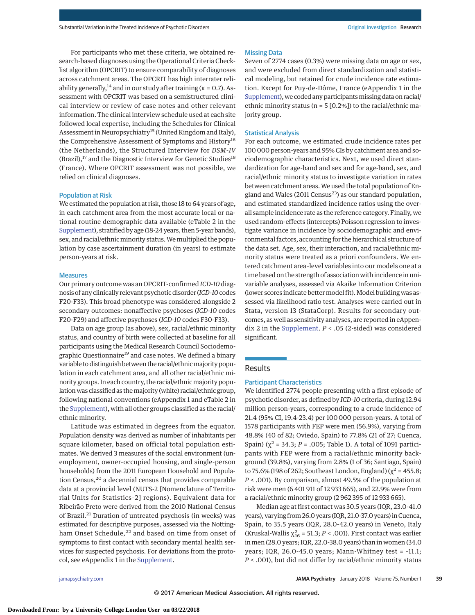For participants who met these criteria, we obtained research-based diagnoses using the Operational Criteria Checklist algorithm (OPCRIT) to ensure comparability of diagnoses across catchment areas. The OPCRIT has high interrater reliability generally,<sup>14</sup> and in our study after training ( $\kappa = 0.7$ ). Assessment with OPCRIT was based on a semistructured clinical interview or review of case notes and other relevant information. The clinical interview schedule used at each site followed local expertise, including the Schedules for Clinical Assessment in Neuropsychiatry<sup>15</sup> (United Kingdom and Italy), the Comprehensive Assessment of Symptoms and History<sup>16</sup> (the Netherlands), the Structured Interview for *DSM-IV*  $(Brazil),<sup>17</sup>$  and the Diagnostic Interview for Genetic Studies<sup>18</sup> (France). Where OPCRIT assessment was not possible, we relied on clinical diagnoses.

## Population at Risk

We estimated the population at risk, those 18 to 64 years of age, in each catchment area from the most accurate local or national routine demographic data available (eTable 2 in the [Supplement\)](http://jama.jamanetwork.com/article.aspx?doi=10.1001/jamapsychiatry.2017.3554&utm_campaign=articlePDF%26utm_medium=articlePDFlink%26utm_source=articlePDF%26utm_content=jamapsychiatry.2017.3554), stratified by age (18-24 years, then 5-year bands), sex, and racial/ethnic minority status. We multiplied the population by case ascertainment duration (in years) to estimate person-years at risk.

#### **Measures**

Our primary outcome was an OPCRIT-confirmed *ICD-10* diagnosis of any clinically relevant psychotic disorder (*ICD-10*codes F20-F33). This broad phenotype was considered alongside 2 secondary outcomes: nonaffective psychoses (*ICD-10* codes F20-F29) and affective psychoses (*ICD-10* codes F30-F33).

Data on age group (as above), sex, racial/ethnic minority status, and country of birth were collected at baseline for all participants using the Medical Research Council Sociodemographic Questionnaire<sup>19</sup> and case notes. We defined a binary variable to distinguish between the racial/ethnicmajority population in each catchment area, and all other racial/ethnic minority groups. In each country, the racial/ethnic majority population was classified as themajority (white) racial/ethnic group, following national conventions (eAppendix 1 and eTable 2 in the [Supplement\)](http://jama.jamanetwork.com/article.aspx?doi=10.1001/jamapsychiatry.2017.3554&utm_campaign=articlePDF%26utm_medium=articlePDFlink%26utm_source=articlePDF%26utm_content=jamapsychiatry.2017.3554), with all other groups classified as the racial/ ethnic minority.

Latitude was estimated in degrees from the equator. Population density was derived as number of inhabitants per square kilometer, based on official total population estimates. We derived 3 measures of the social environment (unemployment, owner-occupied housing, and single-person households) from the 2011 European Household and Population Census,20 a decennial census that provides comparable data at a provincial level (NUTS-2 [Nomenclature of Territorial Units for Statistics–2] regions). Equivalent data for Ribeirão Preto were derived from the 2010 National Census of Brazil.<sup>21</sup> Duration of untreated psychosis (in weeks) was estimated for descriptive purposes, assessed via the Nottingham Onset Schedule,<sup>22</sup> and based on time from onset of symptoms to first contact with secondary mental health services for suspected psychosis. For deviations from the protocol, see eAppendix 1 in the [Supplement.](http://jama.jamanetwork.com/article.aspx?doi=10.1001/jamapsychiatry.2017.3554&utm_campaign=articlePDF%26utm_medium=articlePDFlink%26utm_source=articlePDF%26utm_content=jamapsychiatry.2017.3554)

## Missing Data

Seven of 2774 cases (0.3%) were missing data on age or sex, and were excluded from direct standardization and statistical modeling, but retained for crude incidence rate estimation. Except for Puy-de-Dôme, France (eAppendix 1 in the [Supplement\)](http://jama.jamanetwork.com/article.aspx?doi=10.1001/jamapsychiatry.2017.3554&utm_campaign=articlePDF%26utm_medium=articlePDFlink%26utm_source=articlePDF%26utm_content=jamapsychiatry.2017.3554), we coded any participants missing data on racial/ ethnic minority status ( $n = 5$  [0.2%]) to the racial/ethnic majority group.

## Statistical Analysis

For each outcome, we estimated crude incidence rates per 100 000 person-years and 95% CIs by catchment area and sociodemographic characteristics. Next, we used direct standardization for age-band and sex and for age-band, sex, and racial/ethnic minority status to investigate variation in rates between catchment areas.We used the total population of England and Wales (2011 Census $^{23}$ ) as our standard population, and estimated standardized incidence ratios using the overall sample incidence rate as the reference category. Finally, we used random-effects (intercepts) Poisson regression to investigate variance in incidence by sociodemographic and environmental factors, accounting for the hierarchical structure of the data set. Age, sex, their interaction, and racial/ethnic minority status were treated as a priori confounders. We entered catchment area–level variables into our models one at a time based on the strength of association with incidence in univariable analyses, assessed via Akaike Information Criterion (lower scores indicate better model fit). Model building was assessed via likelihood ratio test. Analyses were carried out in Stata, version 13 (StataCorp). Results for secondary outcomes, as well as sensitivity analyses, are reported in eAppendix 2 in the [Supplement.](http://jama.jamanetwork.com/article.aspx?doi=10.1001/jamapsychiatry.2017.3554&utm_campaign=articlePDF%26utm_medium=articlePDFlink%26utm_source=articlePDF%26utm_content=jamapsychiatry.2017.3554) *P* < .05 (2-sided) was considered significant.

## Results

## Participant Characteristics

We identified 2774 people presenting with a first episode of psychotic disorder, as defined by *ICD-10* criteria, during 12.94 million person-years, corresponding to a crude incidence of 21.4 (95% CI, 19.4-23.4) per 100 000 person-years. A total of 1578 participants with FEP were men (56.9%), varying from 48.8% (40 of 82; Oviedo, Spain) to 77.8% (21 of 27; Cuenca, Spain) ( $\chi^2$  = 34.3; *P* = .005; Table 1). A total of 1091 participants with FEP were from a racial/ethnic minority background (39.8%), varying from 2.8% (1 of 36; Santiago, Spain) to 75.6% (198 of 262; Southeast London, England) ( $\chi^2$  = 455.8; *P* < .001). By comparison, almost 49.5% of the population at risk were men (6 401 911 of 12 933 665), and 22.9% were from a racial/ethnic minority group (2 962 395 of 12 933 665).

Median age at first contact was 30.5 years (IQR, 23.0-41.0 years), varying from 26.0 years (IQR, 21.0-37.0 years) in Cuenca, Spain, to 35.5 years (IQR, 28.0-42.0 years) in Veneto, Italy (Kruskal-Wallis  $\chi^2_{16}$  = 51.3; *P* < .001). First contact was earlier in men (28.0 years; IQR, 22.0-38.0 years) than in women (34.0 years; IQR, 26.0-45.0 years; Mann-Whitney test =  $-11.1$ ; *P* < .001), but did not differ by racial/ethnic minority status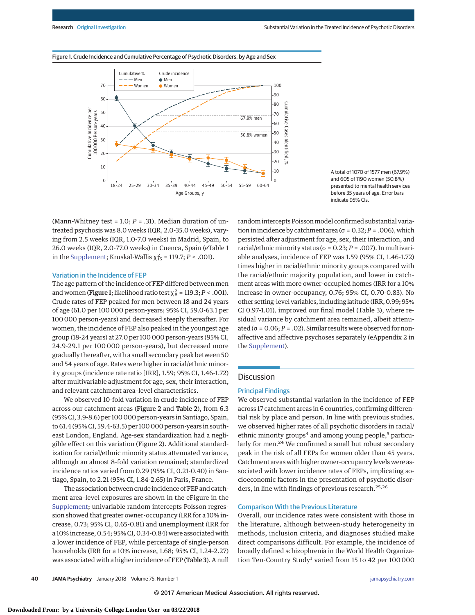



A total of 1070 of 1577 men (67.9%) and 605 of 1190 women (50.8%) presented to mental health services before 35 years of age. Error bars indicate 95% CIs.

(Mann-Whitney test = 1.0;  $P = .31$ ). Median duration of untreated psychosis was 8.0 weeks (IQR, 2.0-35.0 weeks), varying from 2.5 weeks (IQR, 1.0-7.0 weeks) in Madrid, Spain, to 26.0 weeks (IQR, 2.0-77.0 weeks) in Cuenca, Spain (eTable 1 in the [Supplement;](http://jama.jamanetwork.com/article.aspx?doi=10.1001/jamapsychiatry.2017.3554&utm_campaign=articlePDF%26utm_medium=articlePDFlink%26utm_source=articlePDF%26utm_content=jamapsychiatry.2017.3554) Kruskal-Wallis  $\chi_{15}^2$  = 119.7; *P* < .001).

#### Variation in the Incidence of FEP

The age pattern of the incidence of FEP differed between men and women (**Figure 1**; likelihood ratio test  $\chi^2_8$  = 119.3; *P* < .001). Crude rates of FEP peaked for men between 18 and 24 years of age (61.0 per 100 000 person-years; 95% CI, 59.0-63.1 per 100 000 person-years) and decreased steeply thereafter. For women, the incidence of FEP also peaked in the youngest age group (18-24 years) at 27.0 per 100 000 person-years (95% CI, 24.9-29.1 per 100 000 person-years), but decreased more gradually thereafter, with a small secondary peak between 50 and 54 years of age. Rates were higher in racial/ethnic minority groups (incidence rate ratio [IRR], 1.59; 95% CI, 1.46-1.72) after multivariable adjustment for age, sex, their interaction, and relevant catchment area–level characteristics.

We observed 10-fold variation in crude incidence of FEP across our catchment areas (Figure 2 and Table 2), from 6.3 (95% CI, 3.9-8.6) per 100 000 person-years in Santiago, Spain, to 61.4 (95% CI, 59.4-63.5) per 100 000 person-years in southeast London, England. Age-sex standardization had a negligible effect on this variation (Figure 2). Additional standardization for racial/ethnic minority status attenuated variance, although an almost 8-fold variation remained; standardized incidence ratios varied from 0.29 (95% CI, 0.21-0.40) in Santiago, Spain, to 2.21 (95% CI, 1.84-2.65) in Paris, France.

The association between crude incidence of FEP and catchment area–level exposures are shown in the eFigure in the [Supplement;](http://jama.jamanetwork.com/article.aspx?doi=10.1001/jamapsychiatry.2017.3554&utm_campaign=articlePDF%26utm_medium=articlePDFlink%26utm_source=articlePDF%26utm_content=jamapsychiatry.2017.3554) univariable random intercepts Poisson regression showed that greater owner-occupancy (IRR for a 10% increase, 0.73; 95% CI, 0.65-0.81) and unemployment (IRR for a 10% increase, 0.54; 95% CI, 0.34-0.84) were associated with a lower incidence of FEP, while percentage of single-person households (IRR for a 10% increase, 1.68; 95% CI, 1.24-2.27) was associated with a higher incidence of FEP (Table 3). A null random intercepts Poisson model confirmed substantial variation in incidence by catchment area ( $\sigma$  = 0.32;  $P$  = .006), which persisted after adjustment for age, sex, their interaction, and racial/ethnic minority status (σ = 0.23; *P* = .007). In multivariable analyses, incidence of FEP was 1.59 (95% CI, 1.46-1.72) times higher in racial/ethnic minority groups compared with the racial/ethnic majority population, and lower in catchment areas with more owner-occupied homes (IRR for a 10% increase in owner-occupancy, 0.76; 95% CI, 0.70-0.83). No other setting-level variables, including latitude (IRR, 0.99; 95% CI 0.97-1.01), improved our final model (Table 3), where residual variance by catchment area remained, albeit attenuated ( $\sigma$  = 0.06; *P* = .02). Similar results were observed for nonaffective and affective psychoses separately (eAppendix 2 in the [Supplement\)](http://jama.jamanetwork.com/article.aspx?doi=10.1001/jamapsychiatry.2017.3554&utm_campaign=articlePDF%26utm_medium=articlePDFlink%26utm_source=articlePDF%26utm_content=jamapsychiatry.2017.3554).

# **Discussion**

## Principal Findings

We observed substantial variation in the incidence of FEP across 17 catchment areas in 6 countries, confirming differential risk by place and person. In line with previous studies, we observed higher rates of all psychotic disorders in racial/ ethnic minority groups<sup>4</sup> and among young people,<sup>5</sup> particularly for men.<sup>24</sup> We confirmed a small but robust secondary peak in the risk of all FEPs for women older than 45 years. Catchment areas with higher owner-occupancy levels were associated with lower incidence rates of FEPs, implicating socioeconomic factors in the presentation of psychotic disorders, in line with findings of previous research.<sup>25,26</sup>

## Comparison With the Previous Literature

Overall, our incidence rates were consistent with those in the literature, although between-study heterogeneity in methods, inclusion criteria, and diagnoses studied make direct comparisons difficult. For example, the incidence of broadly defined schizophrenia in the World Health Organization Ten-Country Study<sup>1</sup> varied from 15 to 42 per 100 000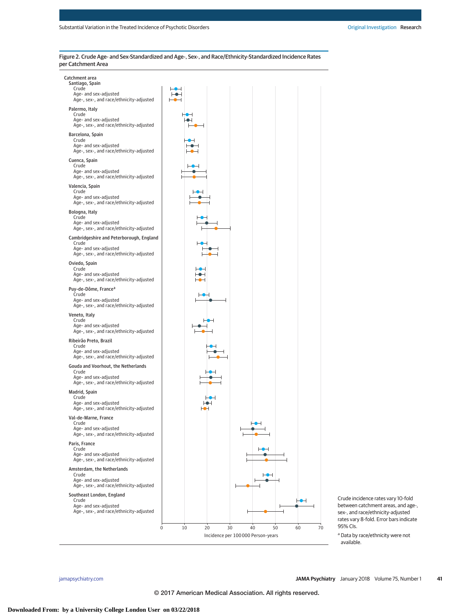| Catchment area<br>Santiago, Spain<br>Crude<br>Age- and sex-adjusted<br>Age-, sex-, and race/ethnicity-adjusted   |                                        |
|------------------------------------------------------------------------------------------------------------------|----------------------------------------|
| Palermo, Italy<br>Crude                                                                                          |                                        |
| Age- and sex-adjusted<br>Age-, sex-, and race/ethnicity-adjusted                                                 |                                        |
| Barcelona, Spain<br>Crude<br>Age- and sex-adjusted<br>Age-, sex-, and race/ethnicity-adjusted                    |                                        |
| Cuenca, Spain<br>Crude<br>Age- and sex-adjusted<br>Age-, sex-, and race/ethnicity-adjusted                       |                                        |
| Valencia, Spain<br>Crude<br>Age- and sex-adjusted<br>Age-, sex-, and race/ethnicity-adjusted                     |                                        |
| Bologna, Italy<br>Crude<br>Age- and sex-adjusted<br>Age-, sex-, and race/ethnicity-adjusted                      |                                        |
| Cambridgeshire and Peterborough, England<br>Crude<br>Age- and sex-adjusted                                       |                                        |
| Age-, sex-, and race/ethnicity-adjusted<br>Oviedo, Spain                                                         |                                        |
| Crude<br>Age- and sex-adjusted<br>Age-, sex-, and race/ethnicity-adjusted                                        |                                        |
| Puy-de-Dôme, France <sup>a</sup><br>Crude<br>Age- and sex-adjusted<br>Age-, sex-, and race/ethnicity-adjusted    |                                        |
| Veneto, Italy<br>Crude<br>Age- and sex-adjusted<br>Age-, sex-, and race/ethnicity-adjusted                       |                                        |
| Ribeirão Preto, Brazil<br>Crude<br>Age- and sex-adjusted<br>Age-, sex-, and race/ethnicity-adjusted              |                                        |
| Gouda and Voorhout, the Netherlands<br>Crude<br>Age- and sex-adjusted<br>Age-, sex-, and race/ethnicity-adjusted |                                        |
| Madrid, Spain<br>Crude<br>Age- and sex-adjusted<br>Age-, sex-, and race/ethnicity-adjusted                       |                                        |
| Val-de-Marne, France<br>Crude<br>Age- and sex-adjusted<br>Age-, sex-, and race/ethnicity-adjusted                |                                        |
| Paris, France<br>Crude<br>Age- and sex-adjusted<br>Age-, sex-, and race/ethnicity-adjusted                       |                                        |
| Amsterdam, the Netherlands<br>Crude<br>Age- and sex-adjusted<br>Age-, sex-, and race/ethnicity-adjusted          |                                        |
| Southeast London, England<br>Crude                                                                               |                                        |
| Age- and sex-adjusted<br>Age-, sex-, and race/ethnicity-adjusted                                                 |                                        |
| $\mathbf 0$                                                                                                      | 10<br>70<br>20<br>30<br>40<br>50<br>60 |
|                                                                                                                  | Incidence per 100000 Person-years      |

Figure 2. Crude Age- and Sex-Standardized and Age-, Sex-, and Race/Ethnicity-Standardized Incidence Rates per Catchment Area

Crude incidence rates vary 10-fold between catchment areas, and age-, sex-, and race/ethnicity-adjusted rates vary 8-fold. Error bars indicate

<sup>a</sup> Data by race/ethnicity were not

95% CIs.

available.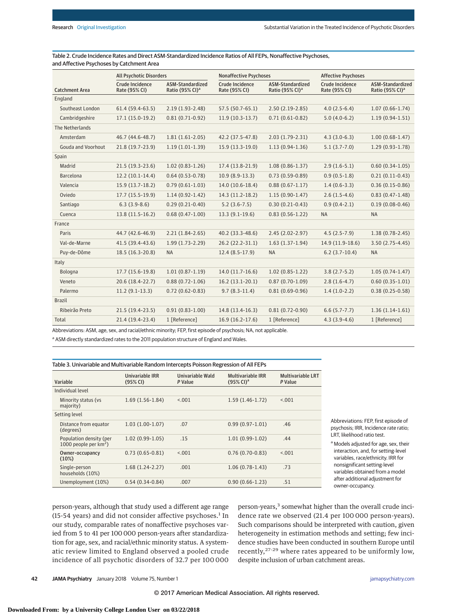|                           | <b>All Psychotic Disorders</b>   |                                                 | <b>Nonaffective Psychoses</b>           |                                                 | <b>Affective Psychoses</b>              |                                                 |
|---------------------------|----------------------------------|-------------------------------------------------|-----------------------------------------|-------------------------------------------------|-----------------------------------------|-------------------------------------------------|
| <b>Catchment Area</b>     | Crude Incidence<br>Rate (95% CI) | ASM-Standardized<br>Ratio (95% CI) <sup>a</sup> | <b>Crude Incidence</b><br>Rate (95% CI) | ASM-Standardized<br>Ratio (95% CI) <sup>a</sup> | <b>Crude Incidence</b><br>Rate (95% CI) | ASM-Standardized<br>Ratio (95% CI) <sup>a</sup> |
| England                   |                                  |                                                 |                                         |                                                 |                                         |                                                 |
| Southeast London          | $61.4(59.4-63.5)$                | $2.19(1.93 - 2.48)$                             | 57.5 (50.7-65.1)                        | $2.50(2.19-2.85)$                               | $4.0(2.5-6.4)$                          | $1.07(0.66 - 1.74)$                             |
| Cambridgeshire            | $17.1(15.0-19.2)$                | $0.81(0.71-0.92)$                               | $11.9(10.3-13.7)$                       | $0.71(0.61 - 0.82)$                             | $5.0(4.0-6.2)$                          | $1.19(0.94-1.51)$                               |
| The Netherlands           |                                  |                                                 |                                         |                                                 |                                         |                                                 |
| Amsterdam                 | 46.7 (44.6-48.7)                 | $1.81(1.61-2.05)$                               | 42.2 (37.5-47.8)                        | $2.03(1.79-2.31)$                               | $4.3(3.0-6.3)$                          | $1.00(0.68-1.47)$                               |
| <b>Gouda and Voorhout</b> | 21.8 (19.7-23.9)                 | $1.19(1.01-1.39)$                               | 15.9 (13.3-19.0)                        | $1.13(0.94-1.36)$                               | $5.1(3.7-7.0)$                          | $1.29(0.93-1.78)$                               |
| Spain                     |                                  |                                                 |                                         |                                                 |                                         |                                                 |
| Madrid                    | $21.5(19.3-23.6)$                | $1.02(0.83 - 1.26)$                             | 17.4 (13.8-21.9)                        | $1.08(0.86 - 1.37)$                             | $2.9(1.6-5.1)$                          | $0.60(0.34-1.05)$                               |
| Barcelona                 | $12.2(10.1-14.4)$                | $0.64(0.53 - 0.78)$                             | $10.9(8.9-13.3)$                        | $0.73(0.59 - 0.89)$                             | $0.9(0.5-1.8)$                          | $0.21(0.11-0.43)$                               |
| Valencia                  | 15.9 (13.7-18.2)                 | $0.79(0.61-1.03)$                               | 14.0 (10.6-18.4)                        | $0.88(0.67 - 1.17)$                             | $1.4(0.6-3.3)$                          | $0.36(0.15-0.86)$                               |
| Oviedo                    | $17.7(15.5-19.9)$                | $1.14(0.92 - 1.42)$                             | 14.3 (11.2-18.2)                        | $1.15(0.90-1.47)$                               | $2.6(1.5-4.6)$                          | $0.83(0.47-1.48)$                               |
| Santiago                  | $6.3(3.9-8.6)$                   | $0.29(0.21-0.40)$                               | $5.2(3.6-7.5)$                          | $0.30(0.21 - 0.43)$                             | $0.9(0.4-2.1)$                          | $0.19(0.08-0.46)$                               |
| Cuenca                    | 13.8 (11.5-16.2)                 | $0.68(0.47-1.00)$                               | $13.3(9.1-19.6)$                        | $0.83(0.56 - 1.22)$                             | <b>NA</b>                               | <b>NA</b>                                       |
| France                    |                                  |                                                 |                                         |                                                 |                                         |                                                 |
| Paris                     | 44.7 (42.6-46.9)                 | $2.21(1.84-2.65)$                               | 40.2 (33.3-48.6)                        | $2.45(2.02 - 2.97)$                             | $4.5(2.5-7.9)$                          | $1.38(0.78-2.45)$                               |
| Val-de-Marne              | 41.5 (39.4-43.6)                 | $1.99(1.73-2.29)$                               | 26.2 (22.2-31.1)                        | $1.63(1.37-1.94)$                               | 14.9 (11.9-18.6)                        | $3.50(2.75-4.45)$                               |
| Puy-de-Dôme               | 18.5 (16.3-20.8)                 | <b>NA</b>                                       | $12.4(8.5-17.9)$                        | <b>NA</b>                                       | $6.2(3.7-10.4)$                         | <b>NA</b>                                       |
| Italy                     |                                  |                                                 |                                         |                                                 |                                         |                                                 |
| Bologna                   | 17.7 (15.6-19.8)                 | $1.01(0.87-1.19)$                               | $14.0(11.7-16.6)$                       | $1.02(0.85 - 1.22)$                             | $3.8(2.7-5.2)$                          | $1.05(0.74-1.47)$                               |
| Veneto                    | 20.6 (18.4-22.7)                 | $0.88(0.72 - 1.06)$                             | $16.2(13.1-20.1)$                       | $0.87(0.70-1.09)$                               | $2.8(1.6-4.7)$                          | $0.60(0.35-1.01)$                               |
| Palermo                   | $11.2(9.1-13.3)$                 | $0.72(0.62 - 0.83)$                             | $9.7(8.3-11.4)$                         | $0.81(0.69-0.96)$                               | $1.4(1.0-2.2)$                          | $0.38(0.25-0.58)$                               |
| <b>Brazil</b>             |                                  |                                                 |                                         |                                                 |                                         |                                                 |
| Ribeirão Preto            | $21.5(19.4-23.5)$                | $0.91(0.83 - 1.00)$                             | 14.8 (13.4-16.3)                        | $0.81(0.72 - 0.90)$                             | $6.6(5.7 - 7.7)$                        | $1.36(1.14-1.61)$                               |
| Total                     | 21.4 (19.4-23.4)                 | 1 [Reference]                                   | 16.9 (16.2-17.6)                        | 1 [Reference]                                   | $4.3(3.9-4.6)$                          | 1 [Reference]                                   |

Table 2. Crude Incidence Rates and Direct ASM-Standardized Incidence Ratios of All FEPs, Nonaffective Psychoses, and Affective Psychoses by Catchment Area

Abbreviations: ASM, age, sex, and racial/ethnic minority; FEP, first episode of psychosis; NA, not applicable.

<sup>a</sup> ASM directly standardized rates to the 2011 population structure of England and Wales.

## Table 3. Univariable and Multivariable Random Intercepts Poisson Regression of All FEPs

| Variable                                            | Univariable IRR<br>(95% CI) | Univariable Wald<br>P Value | <b>Multivariable IRR</b><br>$(95%$ CI) <sup>a</sup> | <b>Multivariable LRT</b><br>P Value |
|-----------------------------------------------------|-----------------------------|-----------------------------|-----------------------------------------------------|-------------------------------------|
| Individual level                                    |                             |                             |                                                     |                                     |
| Minority status (vs.<br>majority)                   | $1.69(1.56-1.84)$           | < 0.01                      | $1.59(1.46-1.72)$                                   | < 0.01                              |
| Setting level                                       |                             |                             |                                                     |                                     |
| Distance from equator<br>(degrees)                  | $1.03(1.00-1.07)$           | .07                         | $0.99(0.97-1.01)$                                   | .46                                 |
| Population density (per<br>1000 people per $km^2$ ) | $1.02(0.99-1.05)$           | .15                         | $1.01(0.99-1.02)$                                   | .44                                 |
| Owner-occupancy<br>(10%)                            | $0.73(0.65-0.81)$           | < 0.01                      | $0.76(0.70-0.83)$                                   | < 0.01                              |
| Single-person<br>households (10%)                   | $1.68(1.24-2.27)$           | .001                        | $1.06(0.78-1.43)$                                   | .73                                 |
| Unemployment (10%)                                  | $0.54(0.34-0.84)$           | .007                        | $0.90(0.66 - 1.23)$                                 | .51                                 |

Abbreviations: FEP, first episode of psychosis; IRR, Incidence rate ratio; LRT, likelihood ratio test.

<sup>a</sup> Models adjusted for age, sex, their interaction, and, for setting-level variables, race/ethnicity. IRR for nonsignificant setting-level variables obtained from a model after additional adjustment for owner-occupancy.

person-years, although that study used a different age range (15-54 years) and did not consider affective psychoses. $<sup>1</sup>$  In</sup> our study, comparable rates of nonaffective psychoses varied from 5 to 41 per 100 000 person-years after standardization for age, sex, and racial/ethnic minority status. A systematic review limited to England observed a pooled crude incidence of all psychotic disorders of 32.7 per 100 000 person-years,<sup>3</sup> somewhat higher than the overall crude incidence rate we observed (21.4 per 100 000 person-years). Such comparisons should be interpreted with caution, given heterogeneity in estimation methods and setting; few incidence studies have been conducted in southern Europe until recently,27-29 where rates appeared to be uniformly low, despite inclusion of urban catchment areas.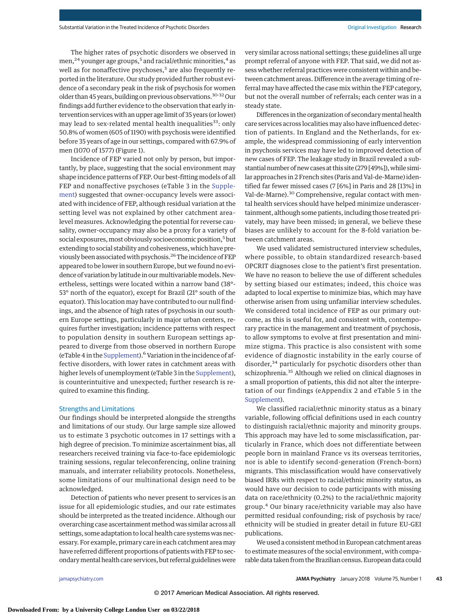The higher rates of psychotic disorders we observed in men,<sup>24</sup> younger age groups,<sup>5</sup> and racial/ethnic minorities,<sup>4</sup> as well as for nonaffective psychoses,<sup>3</sup> are also frequently reported in the literature. Our study provided further robust evidence of a secondary peak in the risk of psychosis for women older than 45 years, building on previous observations.<sup>30-32</sup> Our findings add further evidence to the observation that early intervention serviceswith an upper age limit of 35 years (or lower) may lead to sex-related mental health inequalities<sup>33</sup>: only 50.8% of women (605 of 1190) with psychosis were identified before 35 years of age in our settings, compared with 67.9% of men (1070 of 1577) (Figure 1).

Incidence of FEP varied not only by person, but importantly, by place, suggesting that the social environment may shape incidence patterns of FEP. Our best-fitting models of all FEP and nonaffective psychoses (eTable 3 in the [Supple](http://jama.jamanetwork.com/article.aspx?doi=10.1001/jamapsychiatry.2017.3554&utm_campaign=articlePDF%26utm_medium=articlePDFlink%26utm_source=articlePDF%26utm_content=jamapsychiatry.2017.3554)[ment\)](http://jama.jamanetwork.com/article.aspx?doi=10.1001/jamapsychiatry.2017.3554&utm_campaign=articlePDF%26utm_medium=articlePDFlink%26utm_source=articlePDF%26utm_content=jamapsychiatry.2017.3554) suggested that owner-occupancy levels were associated with incidence of FEP, although residual variation at the setting level was not explained by other catchment area– level measures. Acknowledging the potential for reverse causality, owner-occupancy may also be a proxy for a variety of social exposures, most obviously socioeconomic position,<sup>5</sup> but extending to social stability and cohesiveness, which have previously been associated with psychosis.<sup>26</sup> The incidence of FEP appeared to be lower in southern Europe, but we found no evidence of variation by latitude in our multivariable models. Nevertheless, settings were located within a narrow band (38°- 53° north of the equator), except for Brazil (21° south of the equator). This location may have contributed to our null findings, and the absence of high rates of psychosis in our southern Europe settings, particularly in major urban centers, requires further investigation; incidence patterns with respect to population density in southern European settings appeared to diverge from those observed in northern Europe (eTable 4 in the [Supplement\)](http://jama.jamanetwork.com/article.aspx?doi=10.1001/jamapsychiatry.2017.3554&utm_campaign=articlePDF%26utm_medium=articlePDFlink%26utm_source=articlePDF%26utm_content=jamapsychiatry.2017.3554).6Variation in the incidence of affective disorders, with lower rates in catchment areas with higher levels of unemployment (eTable 3 in the [Supplement\)](http://jama.jamanetwork.com/article.aspx?doi=10.1001/jamapsychiatry.2017.3554&utm_campaign=articlePDF%26utm_medium=articlePDFlink%26utm_source=articlePDF%26utm_content=jamapsychiatry.2017.3554), is counterintuitive and unexpected; further research is required to examine this finding.

## Strengths and Limitations

Our findings should be interpreted alongside the strengths and limitations of our study. Our large sample size allowed us to estimate 3 psychotic outcomes in 17 settings with a high degree of precision. To minimize ascertainment bias, all researchers received training via face-to-face epidemiologic training sessions, regular teleconferencing, online training manuals, and interrater reliability protocols. Nonetheless, some limitations of our multinational design need to be acknowledged.

Detection of patients who never present to services is an issue for all epidemiologic studies, and our rate estimates should be interpreted as the treated incidence. Although our overarching case ascertainment method was similar across all settings, some adaptation to local health care systems was necessary. For example, primary care in each catchment area may have referred different proportions of patients with FEP to secondarymental health care services, but referral guidelineswere

very similar across national settings; these guidelines all urge prompt referral of anyone with FEP. That said, we did not assess whether referral practices were consistent within and between catchment areas. Difference in the average timing of referral may have affected the case mix within the FEP category, but not the overall number of referrals; each center was in a steady state.

Differences in the organization of secondary mental health care services across localities may also have influenced detection of patients. In England and the Netherlands, for example, the widespread commissioning of early intervention in psychosis services may have led to improved detection of new cases of FEP. The leakage study in Brazil revealed a substantial number of new cases at this site (279 [49%]), while similar approaches in 2 French sites (Paris and Val-de-Marne) identified far fewer missed cases (7 [6%] in Paris and 28 [13%] in Val-de-Marne).30 Comprehensive, regular contact with mental health services should have helped minimize underascertainment, although some patients, including those treated privately, may have been missed; in general, we believe these biases are unlikely to account for the 8-fold variation between catchment areas.

We used validated semistructured interview schedules, where possible, to obtain standardized research-based OPCRIT diagnoses close to the patient's first presentation. We have no reason to believe the use of different schedules by setting biased our estimates; indeed, this choice was adapted to local expertise to minimize bias, which may have otherwise arisen from using unfamiliar interview schedules. We considered total incidence of FEP as our primary outcome, as this is useful for, and consistent with, contemporary practice in the management and treatment of psychosis, to allow symptoms to evolve at first presentation and minimize stigma. This practice is also consistent with some evidence of diagnostic instability in the early course of disorder,<sup>34</sup> particularly for psychotic disorders other than schizophrenia.<sup>35</sup> Although we relied on clinical diagnoses in a small proportion of patients, this did not alter the interpretation of our findings (eAppendix 2 and eTable 5 in the [Supplement\)](http://jama.jamanetwork.com/article.aspx?doi=10.1001/jamapsychiatry.2017.3554&utm_campaign=articlePDF%26utm_medium=articlePDFlink%26utm_source=articlePDF%26utm_content=jamapsychiatry.2017.3554).

We classified racial/ethnic minority status as a binary variable, following official definitions used in each country to distinguish racial/ethnic majority and minority groups. This approach may have led to some misclassification, particularly in France, which does not differentiate between people born in mainland France vs its overseas territories, nor is able to identify second-generation (French-born) migrants. This misclassification would have conservatively biased IRRs with respect to racial/ethnic minority status, as would have our decision to code participants with missing data on race/ethnicity (0.2%) to the racial/ethnic majority group.<sup>4</sup> Our binary race/ethnicity variable may also have permitted residual confounding; risk of psychosis by race/ ethnicity will be studied in greater detail in future EU-GEI publications.

We used a consistent method in European catchment areas to estimate measures of the social environment, with comparable data taken from the Brazilian census. European data could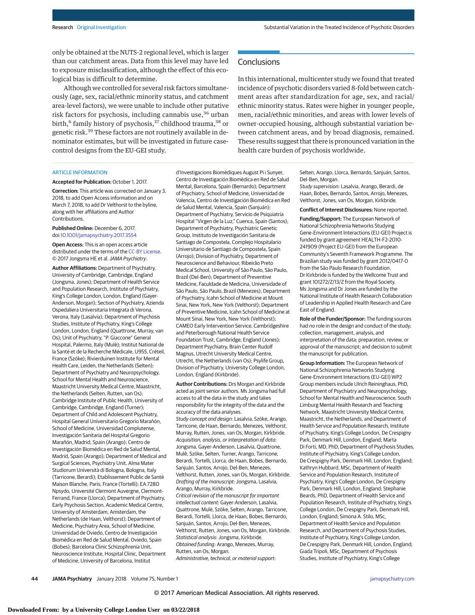only be obtained at the NUTS-2 regional level, which is larger than our catchment areas. Data from this level may have led to exposure misclassification, although the effect of this ecological bias is difficult to determine.

Although we controlled for several risk factors simultaneously (age, sex, racial/ethnic minority status, and catchment area-level factors), we were unable to include other putative risk factors for psychosis, including cannabis use,<sup>36</sup> urban birth,<sup>6</sup> family history of psychosis,<sup>37</sup> childhood trauma,<sup>38</sup> or genetic risk.<sup>39</sup> These factors are not routinely available in denominator estimates, but will be investigated in future casecontrol designs from the EU-GEI study.

# **Conclusions**

In this international, multicenter study we found that treated incidence of psychotic disorders varied 8-fold between catchment areas after standardization for age, sex, and racial/ ethnic minority status. Rates were higher in younger people, men, racial/ethnic minorities, and areas with lower levels of owner-occupied housing, although substantial variation between catchment areas, and by broad diagnosis, remained. These results suggest that there is pronounced variation in the health care burden of psychosis worldwide.

## ARTICLE INFORMATION

#### **Accepted for Publication:** October 1, 2017.

**Correction:** This article was corrected on January 3, 2018, to add Open Access information and on March 7, 2018, to add Dr Velthorst to the byline, along with her affiliations and Author Contributions.

#### **Published Online:** December 6, 2017. doi[:10.1001/jamapsychiatry.2017.3554](https://jama.jamanetwork.com/article.aspx?doi=10.1001/jamapsychiatry.2017.3554&utm_campaign=articlePDF%26utm_medium=articlePDFlink%26utm_source=articlePDF%26utm_content=jamapsychiatry.2017.3554)

**Open Access:** This is an open access article distributed under the terms of the [CC-BY License.](http://jamanetwork.com/journals/jamapsychiatry/pages/instructions-for-authors#SecOpenAccess/?utm_campaign=articlePDF%26utm_medium=articlePDFlink%26utm_source=articlePDF%26utm_content=jamapsychiatry.2017.3554) © 2017 Jongsma HE et al. JAMA Psychiatry.

**Author Affiliations:** Department of Psychiatry, University of Cambridge, Cambridge, England (Jongsma, Jones); Department of Health Service and Population Research, Institute of Psychiatry, King's College London, London, England (Gayer-Anderson, Morgan); Section of Psychiatry, Azienda Ospedaliera Universitaria Integrata di Verona, Verona, Italy (Lasalvia); Department of Psychosis Studies, Institute of Psychiatry, King's College London, London, England (Quattrone, Murray, van Os); Unit of Psychiatry, "P. Giaccone" General Hospital, Palermo, Italy (Mulè); Institut National de la Santé et de la Recherche Médicale, U955, Créteil, France (Szöke); Rivierduinen Institute for Mental Health Care, Leiden, the Netherlands (Selten); Department of Psychiatry and Neuropsychology, School for Mental Health and Neuroscience, Maastricht University Medical Centre, Maastricht, the Netherlands (Selten, Rutten, van Os); Cambridge Institute of Public Health, University of Cambridge, Cambridge, England (Turner); Department of Child and Adolescent Psychiatry, Hospital General Universitario Gregorio Marañón, School of Medicine, Universidad Complutense, Investigación Sanitaria del Hospital Gregorio Marañón, Madrid, Spain (Arango); Centro de Investigación Biomédica en Red de Salud Mental, Madrid, Spain (Arango); Department of Medical and Surgical Sciences, Psychiatry Unit, Alma Mater Studiorum Università di Bologna, Bologna, Italy (Tarricone, Berardi); Etablissement Public de Santé Maison Blanche, Paris, France (Tortelli); EA 7280 Npsydo, Université Clermont Auvergne, Clermont-Ferrand, France (Llorca); Department of Psychiatry, Early Psychosis Section, Academic Medical Centre, University of Amsterdam, Amsterdam, the Netherlands (de Haan, Velthorst); Department of Medicine, Psychiatry Area, School of Medicine, Universidad de Oviedo, Centro de Investigación Biomédica en Red de Salud Mental, Oviedo, Spain (Bobes); Barcelona Clinic Schizophrenia Unit, Neuroscience Institute, Hospital Clinic, Department of Medicine, University of Barcelona, Institut

d'Investigacions Biomèdiques August Pi i Sunyer, Centro de Investigación Biomédica en Red de Salud Mental, Barcelona, Spain (Bernardo); Department of Psychiatry, School of Medicine, Universidad de Valencia, Centro de Investigación Biomédica en Red de Salud Mental, Valencia, Spain (Sanjuán); Department of Psychiatry, Servicio de Psiquiatría Hospital "Virgen de la Luz," Cuenca, Spain (Santos); Department of Psychiatry, Psychiatric Genetic Group, Instituto de Investigación Sanitaria de Santiago de Compostela, Complejo Hospitalario Universitario de Santiago de Compostela, Spain (Arrojo); Division of Psychiatry, Department of Neuroscience and Behaviour, Ribeirão Preto Medical School, University of São Paulo, São Paulo, Brazil (Del-Ben); Department of Preventive Medicine, Faculdade de Medicina, Universidade of São Paulo, São Paulo, Brazil (Menezes); Department of Psychiatry, Icahn School of Medicine at Mount Sinai, New York, New York (Velthorst); Department of Preventive Medicine, Icahn School of Medicine at Mount Sinai, New York, New York (Velthorst); CAMEO Early Intervention Service, Cambridgeshire and Peterborough National Health Service Foundation Trust, Cambridge, England (Jones); Department Psychiatry, Brain Center Rudolf Magnus, Utrecht University Medical Centre, Utrecht, the Netherlands (van Os); Psylife Group, Division of Psychiatry, University College London, London, England (Kirkbride).

**Author Contributions:** Drs Morgan and Kirkbride acted as joint senior authors. Ms Jongsma had full access to all the data in the study and takes responsibility for the integrity of the data and the accuracy of the data analyses. Study concept and design: Lasalvia, Szöke, Arango, Tarricone, de Haan, Bernardo, Menezes, Velthorst, Murray, Rutten, Jones, van Os, Morgan, Kirkbride. Acquisition, analysis, or interpretation of data: Jongsma, Gayer-Anderson, Lasalvia, Quattrone, Mulè, Szöke, Selten, Turner, Arango, Tarricone, Berardi, Tortelli, Llorca, de Haan, Bobes, Bernardo, Sanjuán, Santos, Arrojo, Del-Ben, Menezes, Velthorst, Rutten, Jones, van Os, Morgan, Kirkbride. Drafting of the manuscript: Jongsma, Lasalvia, Arango, Murray, Kirkbride. Critical revision of the manuscript for important intellectual content: Gayer-Anderson, Lasalvia, Quattrone, Mulè, Szöke, Selten, Arango, Tarricone, Berardi, Tortelli, Llorca, de Haan, Bobes, Bernardo, Sanjuán, Santos, Arrojo, Del-Ben, Menezes, Velthorst, Rutten, Jones, van Os, Morgan, Kirkbride. Statistical analysis: Jongsma, Kirkbride. Obtained funding: Arango, Menezes, Murray, Rutten, van Os, Morgan. Administrative, technical, or material support:

Selten, Arango, Llorca, Bernardo, Sanjuán, Santos, Del-Ben, Morgan.

Study supervision: Lasalvia, Arango, Berardi, de Haan, Bobes, Bernardo, Santos, Arrojo, Menezes, Velthorst, Jones, van Os, Morgan, Kirkbride.

**Conflict of Interest Disclosures:** None reported.

**Funding/Support:** The European Network of National Schizophrenia Networks Studying Gene-Environment Interactions (EU-GEI) Project is funded by grant agreement HEALTH-F2-2010- 241909 (Project EU-GEI) from the European Community's Seventh Framework Programme. The Brazilian study was funded by grant 2012/0417-0 from the São Paulo Research Foundation. Dr Kirkbride is funded by the Wellcome Trust and grant 101272/Z/13/Z from the Royal Society. Ms Jongsma and Dr Jones are funded by the National Institute of Health Research Collaboration of Leadership in Applied Health Research and Care East of England.

**Role of the Funder/Sponsor:** The funding sources had no role in the design and conduct of the study; collection, management, analysis, and interpretation of the data; preparation, review, or approval of the manuscript; and decision to submit the manuscript for publication.

**Group Information:** The European Network of National Schizophrenia Networks Studying Gene-Environment Interactions (EU-GEI) WP2 Group members include Ulrich Reininghaus, PhD, Department of Psychiatry and Neuropsychology, School for Mental Health and Neuroscience, South Limburg Mental Health Research and Teaching Network, Maastricht University Medical Centre, Maastricht, the Netherlands, and Department of Health Service and Population Research, Institute of Psychiatry, King's College London, De Crespigny Park, Denmark Hill, London, England; Marta Di Forti, MD, PhD, Department of Psychosis Studies, Institute of Psychiatry, King's College London, De Crespigny Park, Denmark Hill, London, England; Kathryn Hubbard, MSc, Department of Health Service and Population Research, Institute of Psychiatry, King's College London, De Crespigny Park, Denmark Hill, London, England; Stephanie Beards, PhD, Department of Health Service and Population Research, Institute of Psychiatry, King's College London, De Crespigny Park, Denmark Hill, London, England; Simona A. Stilo, MSc, Department of Health Service and Population Research, and Department of Psychosis Studies, Institute of Psychiatry, King's College London, De Crespigny Park, Denmark Hill, London, England; Giada Tripoli, MSc, Department of Psychosis Studies, Institute of Psychiatry, King's College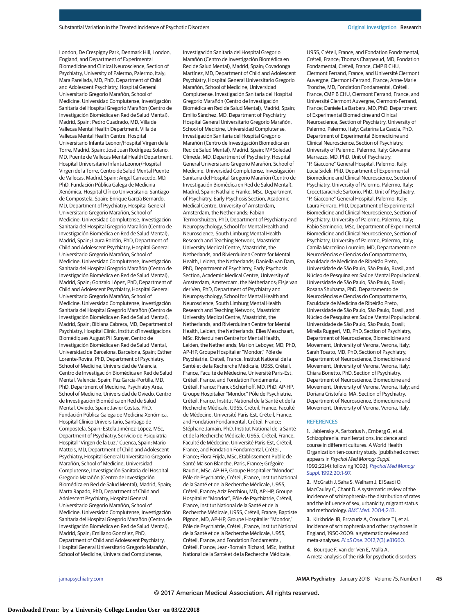London, De Crespigny Park, Denmark Hill, London, England, and Department of Experimental Biomedicine and Clinical Neuroscience, Section of Psychiatry, University of Palermo, Palermo, Italy; Mara Parellada, MD, PhD, Department of Child and Adolescent Psychiatry, Hospital General Universitario Gregorio Marañón, School of Medicine, Universidad Complutense, Investigación Sanitaria del Hospital Gregorio Marañón (Centro de Investigación Biomédica en Red de Salud Mental), Madrid, Spain; Pedro Cuadrado, MD, Villa de Vallecas Mental Health Department, Villa de Vallecas Mental Health Centre, Hospital Universitario Infanta Leonor/Hospital Virgen de la Torre, Madrid, Spain; José Juan Rodríguez Solano, MD, Puente de Vallecas Mental Health Department, Hospital Universitario Infanta Leonor/Hospital Virgen de la Torre, Centro de Salud Mental Puente de Vallecas, Madrid, Spain; Angel Carracedo, MD, PhD, Fundación Pública Galega de Medicina Xenómica, Hospital Clínico Universitario, Santiago de Compostela, Spain; Enrique García Bernardo, MD, Department of Psychiatry, Hospital General Universitario Gregorio Marañón, School of Medicine, Universidad Complutense, Investigación Sanitaria del Hospital Gregorio Marañón (Centro de Investigación Biomédica en Red de Salud Mental), Madrid, Spain; Laura Roldán, PhD, Department of Child and Adolescent Psychiatry, Hospital General Universitario Gregorio Marañón, School of Medicine, Universidad Complutense, Investigación Sanitaria del Hospital Gregorio Marañón (Centro de Investigación Biomédica en Red de Salud Mental), Madrid, Spain; Gonzalo López, PhD, Department of Child and Adolescent Psychiatry, Hospital General Universitario Gregorio Marañón, School of Medicine, Universidad Complutense, Investigación Sanitaria del Hospital Gregorio Marañón (Centro de Investigación Biomédica en Red de Salud Mental), Madrid, Spain; Bibiana Cabrera, MD, Department of Psychiatry, Hospital Clinic, Institut d'Investigacions Biomèdiques August Pi i Sunyer, Centro de Investigación Biomédica en Red de Salud Mental, Universidad de Barcelona, Barcelona, Spain; Esther Lorente-Rovira, PhD, Department of Psychiatry, School of Medicine, Universidad de Valencia, Centro de Investigación Biomédica en Red de Salud Mental, Valencia, Spain; Paz Garcia-Portilla, MD, PhD, Department of Medicine, Psychiatry Area, School of Medicine, Universidad de Oviedo, Centro de Investigación Biomédica en Red de Salud Mental, Oviedo, Spain; Javier Costas, PhD, Fundación Pública Galega de Medicina Xenómica, Hospital Clínico Universitario, Santiago de Compostela, Spain; Estela Jiménez-López, MSc, Department of Psychiatry, Servicio de Psiquiatría Hospital "Virgen de la Luz," Cuenca, Spain; Mario Matteis, MD, Department of Child and Adolescent Psychiatry, Hospital General Universitario Gregorio Marañón, School of Medicine, Universidad Complutense, Investigación Sanitaria del Hospital Gregorio Marañón (Centro de Investigación Biomédica en Red de Salud Mental), Madrid, Spain; Marta Rapado, PhD, Department of Child and Adolescent Psychiatry, Hospital General Universitario Gregorio Marañón, School of Medicine, Universidad Complutense, Investigación Sanitaria del Hospital Gregorio Marañón (Centro de Investigación Biomédica en Red de Salud Mental), Madrid, Spain; Emiliano González, PhD, Department of Child and Adolescent Psychiatry, Hospital General Universitario Gregorio Marañón, School of Medicine, Universidad Complutense,

Investigación Sanitaria del Hospital Gregorio Marañón (Centro de Investigación Biomédica en Red de Salud Mental), Madrid, Spain; Covadonga Martínez, MD, Department of Child and Adolescent Psychiatry, Hospital General Universitario Gregorio Marañón, School of Medicine, Universidad Complutense, Investigación Sanitaria del Hospital Gregorio Marañón (Centro de Investigación Biomédica en Red de Salud Mental), Madrid, Spain; Emilio Sánchez, MD, Department of Psychiatry, Hospital General Universitario Gregorio Marañón, School of Medicine, Universidad Complutense, Investigación Sanitaria del Hospital Gregorio Marañón (Centro de Investigación Biomédica en Red de Salud Mental), Madrid, Spain; Mª Soledad Olmeda, MD, Department of Psychiatry, Hospital General Universitario Gregorio Marañón, School of Medicine, Universidad Complutense, Investigación Sanitaria del Hospital Gregorio Marañón (Centro de Investigación Biomédica en Red de Salud Mental), Madrid, Spain; Nathalie Franke, MSc, Department of Psychiatry, Early Psychosis Section, Academic Medical Centre, University of Amsterdam, Amsterdam, the Netherlands; Fabian Termorshuizen, PhD, Department of Psychiatry and Neuropsychology, School for Mental Health and Neuroscience, South Limburg Mental Health Research and Teaching Network, Maastricht University Medical Centre, Maastricht, the Netherlands, and Rivierduinen Centre for Mental Health, Leiden, the Netherlands; Daniella van Dam, PhD, Department of Psychiatry, Early Psychosis Section, Academic Medical Centre, University of Amsterdam, Amsterdam, the Netherlands; Elsje van der Ven, PhD, Department of Psychiatry and Neuropsychology, School for Mental Health and Neuroscience, South Limburg Mental Health Research and Teaching Network, Maastricht University Medical Centre, Maastricht, the Netherlands, and Rivierduinen Centre for Mental Health, Leiden, the Netherlands; Elles Messchaart, MSc, Rivierduinen Centre for Mental Health, Leiden, the Netherlands; Marion Leboyer, MD, PhD, AP-HP, Groupe Hospitalier "Mondor," Pôle de Psychiatrie, Créteil, France, Institut National de la Santé et de la Recherche Médicale, U955, Créteil, France, Faculté de Médecine, Université Paris-Est, Créteil, France, and Fondation Fondamental, Créteil, France; Franck Schürhoff, MD, PhD, AP-HP, Groupe Hospitalier "Mondor," Pôle de Psychiatrie, Créteil, France, Institut National de la Santé et de la Recherche Médicale, U955, Créteil, France, Faculté de Médecine, Université Paris-Est, Créteil, France, and Fondation Fondamental, Créteil, France; Stéphane Jamain, PhD, Institut National de la Santé et de la Recherche Médicale, U955, Créteil, France, Faculté de Médecine, Université Paris-Est, Créteil, France, and Fondation Fondamental, Créteil, France; Flora Frijda, MSc, Etablissement Public de Santé Maison Blanche, Paris, France; Grégoire Baudin, MSc, AP-HP, Groupe Hospitalier "Mondor," Pôle de Psychiatrie, Créteil, France, Institut National de la Santé et de la Recherche Médicale, U955, Créteil, France; Aziz Ferchiou, MD, AP-HP, Groupe Hospitalier "Mondor", Pôle de Psychiatrie, Créteil, France, Institut National de la Santé et de la Recherche Médicale, U955, Créteil, France; Baptiste Pignon, MD, AP-HP, Groupe Hospitalier "Mondor," Pôle de Psychiatrie, Créteil, France, Institut National de la Santé et de la Recherche Médicale, U955, Créteil, France, and Fondation Fondamental, Créteil, France; Jean-Romain Richard, MSc, Institut National de la Santé et de la Recherche Médicale,

U955, Créteil, France, and Fondation Fondamental, Créteil, France; Thomas Charpeaud, MD, Fondation Fondamental, Créteil, France, CMP B CHU, Clermont Ferrand, France, and Université Clermont Auvergne, Clermont-Ferrand, France; Anne-Marie Tronche, MD, Fondation Fondamental, Créteil, France, CMP B CHU, Clermont Ferrand, France, and Université Clermont Auvergne, Clermont-Ferrand, France; Daniele La Barbera, MD, PhD, Department of Experimental Biomedicine and Clinical Neuroscience, Section of Psychiatry, University of Palermo, Palermo, Italy; Caterina La Cascia, PhD, Department of Experimental Biomedicine and Clinical Neuroscience, Section of Psychiatry, University of Palermo, Palermo, Italy; Giovanna Marrazzo, MD, PhD, Unit of Psychiatry, "P. Giaccone" General Hospital, Palermo, Italy; Lucia Sideli, PhD, Department of Experimental Biomedicine and Clinical Neuroscience, Section of Psychiatry, University of Palermo, Palermo, Italy; Crocettarachele Sartorio, PhD, Unit of Psychiatry, "P. Giaccone" General Hospital, Palermo, Italy; Laura Ferraro, PhD, Department of Experimental Biomedicine and Clinical Neuroscience, Section of Psychiatry, University of Palermo, Palermo, Italy; Fabio Seminerio, MSc, Department of Experimental Biomedicine and Clinical Neuroscience, Section of Psychiatry, University of Palermo, Palermo, Italy; Camila Marcelino Loureiro, MD, Departamento de Neurociências e Ciencias do Comportamento, Faculdade de Medicina de Ribeirão Preto, Universidade de São Paulo, São Paulo, Brasil, and Núcleo de Pesquina em Saúde Mental Populacional, Universidade de São Paulo, São Paulo, Brasil; Rosana Shuhama, PhD, Departamento de Neurociências e Ciencias do Comportamento, Faculdade de Medicina de Ribeirão Preto, Universidade de São Paulo, São Paulo, Brasil, and Núcleo de Pesquina em Saúde Mental Populacional, Universidade de São Paulo, São Paulo, Brasil; Mirella Ruggeri, MD, PhD, Section of Psychiatry, Department of Neuroscience, Biomedicine and Movement, University of Verona, Verona, Italy; Sarah Tosato, MD, PhD, Section of Psychiatry, Department of Neuroscience, Biomedicine and Movement, University of Verona, Verona, Italy; Chiara Bonetto, PhD, Section of Psychiatry, Department of Neuroscience, Biomedicine and Movement, University of Verona, Verona, Italy; and Doriana Cristofalo, MA, Section of Psychiatry, Department of Neuroscience, Biomedicine and Movement, University of Verona, Verona, Italy.

#### **REFERENCES**

**1**. Jablensky A, Sartorius N, Ernberg G, et al. Schizophrenia: manifestations, incidence and course in different cultures. A World Health Organization ten-country study. [published correct appears in Psychol Med Monogr Suppl. 1992;22(4):following 1092]. [Psychol Med Monogr](https://www.ncbi.nlm.nih.gov/pubmed/1565705) Suppl[. 1992;20:1-97.](https://www.ncbi.nlm.nih.gov/pubmed/1565705)

**2**. McGrath J, Saha S, Welham J, El Saadi O, MacCauley C, Chant D. A systematic review of the incidence of schizophrenia: the distribution of rates and the influence of sex, urbanicity, migrant status and methodology. BMC Med[. 2004;2:13.](https://www.ncbi.nlm.nih.gov/pubmed/15115547)

**3**. Kirkbride JB, Errazuriz A, Croudace TJ, et al. Incidence of schizophrenia and other psychoses in England, 1950-2009: a systematic review and meta-analyses. PLoS One[. 2012;7\(3\):e31660.](https://www.ncbi.nlm.nih.gov/pubmed/22457710)

**4**. Bourque F, van der Ven E, Malla A. A meta-analysis of the risk for psychotic disorders